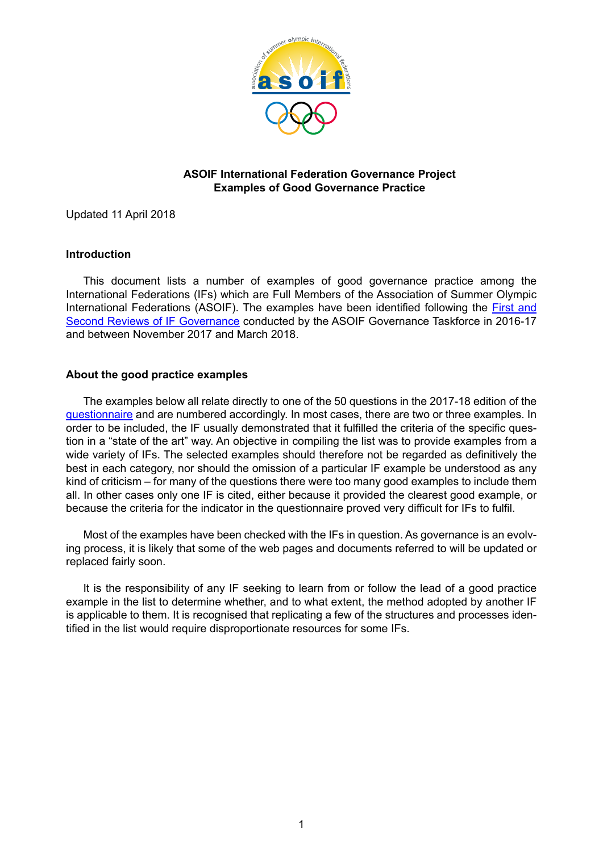

## **ASOIF International Federation Governance Project Examples of Good Governance Practice**

Updated 11 April 2018

## **Introduction**

This document lists a number of examples of good governance practice among the International Federations (IFs) which are Full Members of the Association of Summer Olympic International Federations (ASOIF). The examples have been identified following the [First and](http://www.asoif.com/governance-task-force) [Second Reviews of IF Governance](http://www.asoif.com/governance-task-force) conducted by the ASOIF Governance Taskforce in 2016-17 and between November 2017 and March 2018.

## **About the good practice examples**

The examples below all relate directly to one of the 50 questions in the 2017-18 edition of the [questionnaire](http://www.asoif.com/sites/default/files/download/if_governance_questionnaire-stage_2.pdf) and are numbered accordingly. In most cases, there are two or three examples. In order to be included, the IF usually demonstrated that it fulfilled the criteria of the specific question in a "state of the art" way. An objective in compiling the list was to provide examples from a wide variety of IFs. The selected examples should therefore not be regarded as definitively the best in each category, nor should the omission of a particular IF example be understood as any kind of criticism – for many of the questions there were too many good examples to include them all. In other cases only one IF is cited, either because it provided the clearest good example, or because the criteria for the indicator in the questionnaire proved very difficult for IFs to fulfil.

Most of the examples have been checked with the IFs in question. As governance is an evolving process, it is likely that some of the web pages and documents referred to will be updated or replaced fairly soon.

It is the responsibility of any IF seeking to learn from or follow the lead of a good practice example in the list to determine whether, and to what extent, the method adopted by another IF is applicable to them. It is recognised that replicating a few of the structures and processes identified in the list would require disproportionate resources for some IFs.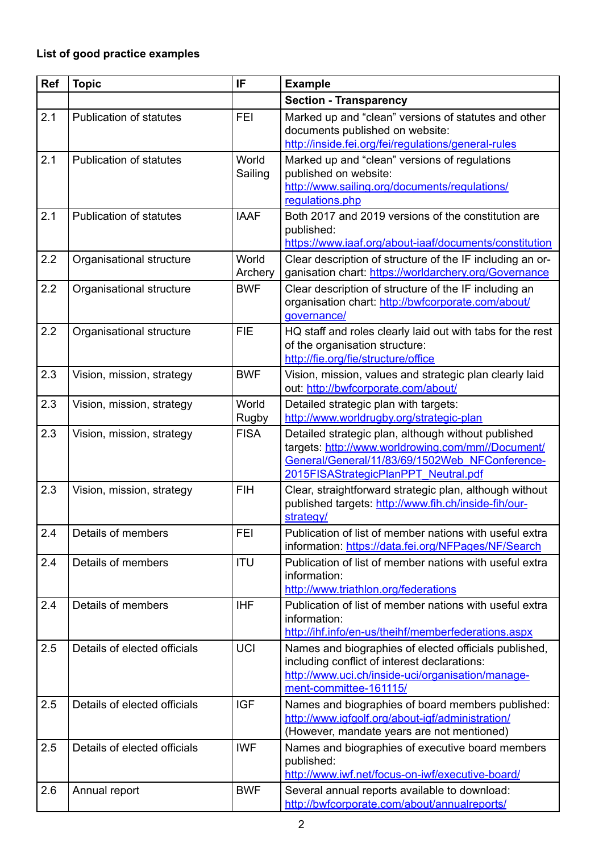## **List of good practice examples**

| <b>Ref</b> | <b>Topic</b>                   | IF                    | <b>Example</b>                                                                                                                                                                                     |
|------------|--------------------------------|-----------------------|----------------------------------------------------------------------------------------------------------------------------------------------------------------------------------------------------|
|            |                                |                       | <b>Section - Transparency</b>                                                                                                                                                                      |
| 2.1        | <b>Publication of statutes</b> | <b>FEI</b>            | Marked up and "clean" versions of statutes and other<br>documents published on website:<br>http://inside.fei.org/fei/regulations/general-rules                                                     |
| 2.1        | <b>Publication of statutes</b> | World<br>Sailing      | Marked up and "clean" versions of regulations<br>published on website:<br>http://www.sailing.org/documents/regulations/<br>regulations.php                                                         |
| 2.1        | <b>Publication of statutes</b> | <b>IAAF</b>           | Both 2017 and 2019 versions of the constitution are<br>published:<br>https://www.iaaf.org/about-iaaf/documents/constitution                                                                        |
| 2.2        | Organisational structure       | World<br>Archery      | Clear description of structure of the IF including an or-<br>ganisation chart: https://worldarchery.org/Governance                                                                                 |
| 2.2        | Organisational structure       | <b>BWF</b>            | Clear description of structure of the IF including an<br>organisation chart: http://bwfcorporate.com/about/<br>governance/                                                                         |
| 2.2        | Organisational structure       | <b>FIE</b>            | HQ staff and roles clearly laid out with tabs for the rest<br>of the organisation structure:<br>http://fie.org/fie/structure/office                                                                |
| 2.3        | Vision, mission, strategy      | <b>BWF</b>            | Vision, mission, values and strategic plan clearly laid<br>out: http://bwfcorporate.com/about/                                                                                                     |
| 2.3        | Vision, mission, strategy      | World<br><b>Rugby</b> | Detailed strategic plan with targets:<br>http://www.worldrugby.org/strategic-plan                                                                                                                  |
| 2.3        | Vision, mission, strategy      | <b>FISA</b>           | Detailed strategic plan, although without published<br>targets: http://www.worldrowing.com/mm//Document/<br>General/General/11/83/69/1502Web NFConference-<br>2015FISAStrategicPlanPPT Neutral.pdf |
| 2.3        | Vision, mission, strategy      | <b>FIH</b>            | Clear, straightforward strategic plan, although without<br>published targets: http://www.fih.ch/inside-fih/our-<br>strategy/                                                                       |
| 2.4        | Details of members             | <b>FEI</b>            | Publication of list of member nations with useful extra<br>information: https://data.fei.org/NFPages/NF/Search                                                                                     |
| 2.4        | Details of members             | <b>ITU</b>            | Publication of list of member nations with useful extra<br>information:<br>http://www.triathlon.org/federations                                                                                    |
| 2.4        | Details of members             | <b>IHF</b>            | Publication of list of member nations with useful extra<br>information:<br>http://ihf.info/en-us/theihf/memberfederations.aspx                                                                     |
| 2.5        | Details of elected officials   | <b>UCI</b>            | Names and biographies of elected officials published,<br>including conflict of interest declarations:<br>http://www.uci.ch/inside-uci/organisation/manage-<br>ment-committee-161115/               |
| 2.5        | Details of elected officials   | <b>IGF</b>            | Names and biographies of board members published:<br>http://www.igfgolf.org/about-igf/administration/<br>(However, mandate years are not mentioned)                                                |
| 2.5        | Details of elected officials   | <b>IWF</b>            | Names and biographies of executive board members<br>published:<br>http://www.iwf.net/focus-on-iwf/executive-board/                                                                                 |
| 2.6        | Annual report                  | <b>BWF</b>            | Several annual reports available to download:<br>http://bwfcorporate.com/about/annualreports/                                                                                                      |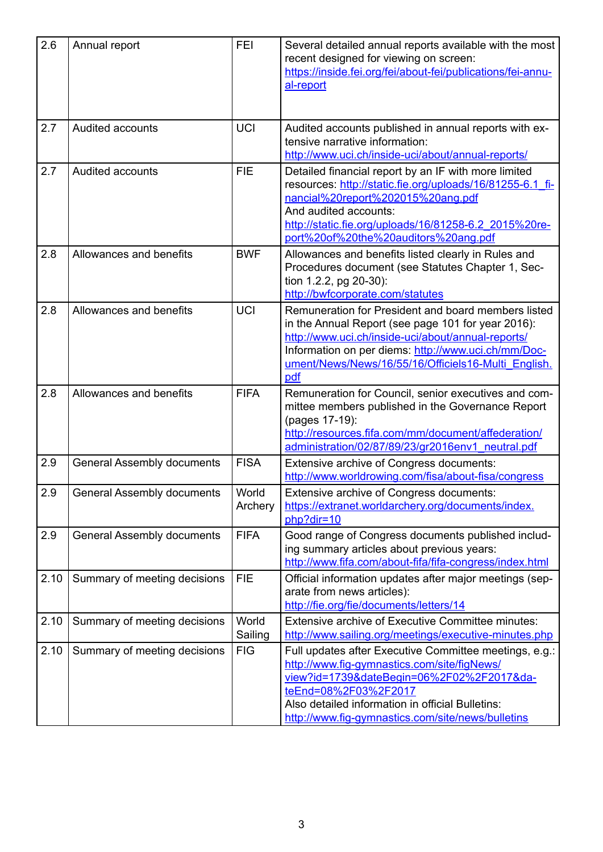| 2.6  | Annual report                     | <b>FEI</b>       | Several detailed annual reports available with the most<br>recent designed for viewing on screen:<br>https://inside.fei.org/fei/about-fei/publications/fei-annu-<br>al-report                                                                                                        |
|------|-----------------------------------|------------------|--------------------------------------------------------------------------------------------------------------------------------------------------------------------------------------------------------------------------------------------------------------------------------------|
| 2.7  | <b>Audited accounts</b>           | <b>UCI</b>       | Audited accounts published in annual reports with ex-<br>tensive narrative information:<br>http://www.uci.ch/inside-uci/about/annual-reports/                                                                                                                                        |
| 2.7  | <b>Audited accounts</b>           | <b>FIE</b>       | Detailed financial report by an IF with more limited<br>resources: http://static.fie.org/uploads/16/81255-6.1 fi-<br>nancial%20report%202015%20ang.pdf<br>And audited accounts:<br>http://static.fie.org/uploads/16/81258-6.2 2015%20re-<br>port%20of%20the%20auditors%20ang.pdf     |
| 2.8  | Allowances and benefits           | <b>BWF</b>       | Allowances and benefits listed clearly in Rules and<br>Procedures document (see Statutes Chapter 1, Sec-<br>tion 1.2.2, pg 20-30):<br>http://bwfcorporate.com/statutes                                                                                                               |
| 2.8  | Allowances and benefits           | <b>UCI</b>       | Remuneration for President and board members listed<br>in the Annual Report (see page 101 for year 2016):<br>http://www.uci.ch/inside-uci/about/annual-reports/<br>Information on per diems: http://www.uci.ch/mm/Doc-<br>ument/News/News/16/55/16/Officiels16-Multi English.<br>pdf |
| 2.8  | Allowances and benefits           | <b>FIFA</b>      | Remuneration for Council, senior executives and com-<br>mittee members published in the Governance Report<br>(pages 17-19):<br>http://resources.fifa.com/mm/document/affederation/<br>administration/02/87/89/23/gr2016env1_neutral.pdf                                              |
| 2.9  | <b>General Assembly documents</b> | <b>FISA</b>      | Extensive archive of Congress documents:<br>http://www.worldrowing.com/fisa/about-fisa/congress                                                                                                                                                                                      |
| 2.9  | <b>General Assembly documents</b> | World<br>Archery | Extensive archive of Congress documents:<br>https://extranet.worldarchery.org/documents/index.<br>php?dir=10                                                                                                                                                                         |
| 2.9  | <b>General Assembly documents</b> | <b>FIFA</b>      | Good range of Congress documents published includ-<br>ing summary articles about previous years:<br>http://www.fifa.com/about-fifa/fifa-congress/index.html                                                                                                                          |
| 2.10 | Summary of meeting decisions      | <b>FIE</b>       | Official information updates after major meetings (sep-<br>arate from news articles):<br>http://fie.org/fie/documents/letters/14                                                                                                                                                     |
| 2.10 | Summary of meeting decisions      | World<br>Sailing | <b>Extensive archive of Executive Committee minutes:</b><br>http://www.sailing.org/meetings/executive-minutes.php                                                                                                                                                                    |
| 2.10 | Summary of meeting decisions      | <b>FIG</b>       | Full updates after Executive Committee meetings, e.g.:<br>http://www.fig-gymnastics.com/site/figNews/<br>view?id=1739&dateBegin=06%2F02%2F2017&da-<br>teEnd=08%2F03%2F2017<br>Also detailed information in official Bulletins:<br>http://www.fig-gymnastics.com/site/news/bulletins  |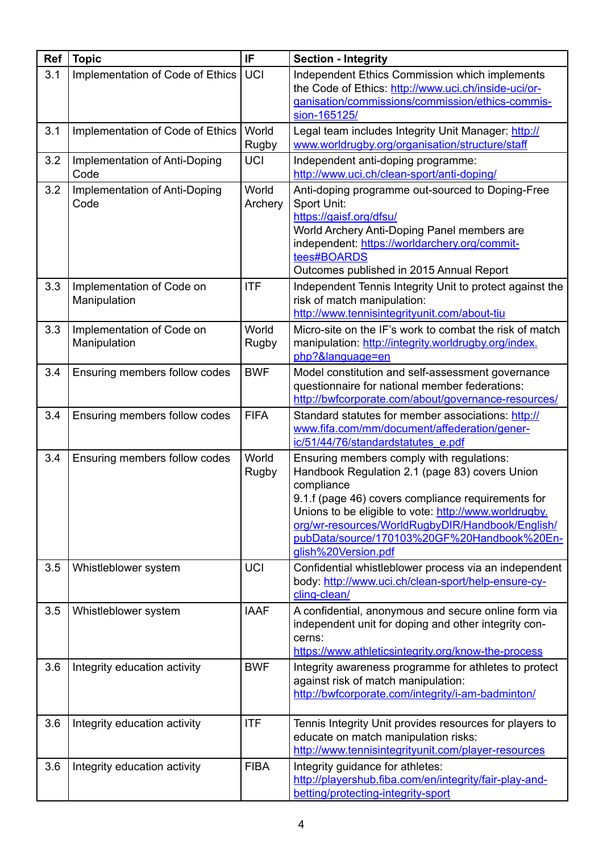| <b>Ref</b> | <b>Topic</b>                              | IF                    | <b>Section - Integrity</b>                                                                                                                                                                                                                                                                                                                         |
|------------|-------------------------------------------|-----------------------|----------------------------------------------------------------------------------------------------------------------------------------------------------------------------------------------------------------------------------------------------------------------------------------------------------------------------------------------------|
| 3.1        | Implementation of Code of Ethics          | <b>UCI</b>            | Independent Ethics Commission which implements<br>the Code of Ethics: http://www.uci.ch/inside-uci/or-<br>ganisation/commissions/commission/ethics-commis-<br>sion-165125/                                                                                                                                                                         |
| 3.1        | Implementation of Code of Ethics          | World<br><b>Rugby</b> | Legal team includes Integrity Unit Manager: http://<br>www.worldrugby.org/organisation/structure/staff                                                                                                                                                                                                                                             |
| 3.2        | Implementation of Anti-Doping<br>Code     | <b>UCI</b>            | Independent anti-doping programme:<br>http://www.uci.ch/clean-sport/anti-doping/                                                                                                                                                                                                                                                                   |
| 3.2        | Implementation of Anti-Doping<br>Code     | World<br>Archery      | Anti-doping programme out-sourced to Doping-Free<br>Sport Unit:<br>https://gaisf.org/dfsu/<br>World Archery Anti-Doping Panel members are<br>independent: https://worldarchery.org/commit-<br>tees#BOARDS<br>Outcomes published in 2015 Annual Report                                                                                              |
| 3.3        | Implementation of Code on<br>Manipulation | <b>ITF</b>            | Independent Tennis Integrity Unit to protect against the<br>risk of match manipulation:<br>http://www.tennisintegrityunit.com/about-tiu                                                                                                                                                                                                            |
| 3.3        | Implementation of Code on<br>Manipulation | World<br><b>Rugby</b> | Micro-site on the IF's work to combat the risk of match<br>manipulation: http://integrity.worldrugby.org/index.<br>php?&language=en                                                                                                                                                                                                                |
| 3.4        | Ensuring members follow codes             | <b>BWF</b>            | Model constitution and self-assessment governance<br>questionnaire for national member federations:<br>http://bwfcorporate.com/about/governance-resources/                                                                                                                                                                                         |
| 3.4        | Ensuring members follow codes             | <b>FIFA</b>           | Standard statutes for member associations: http://<br>www.fifa.com/mm/document/affederation/gener-<br>ic/51/44/76/standardstatutes e.pdf                                                                                                                                                                                                           |
| 3.4        | Ensuring members follow codes             | World<br><b>Rugby</b> | Ensuring members comply with regulations:<br>Handbook Regulation 2.1 (page 83) covers Union<br>compliance<br>9.1.f (page 46) covers compliance requirements for<br>Unions to be eligible to vote: http://www.worldrugby.<br>org/wr-resources/WorldRugbyDIR/Handbook/English/<br>pubData/source/170103%20GF%20Handbook%20En-<br>glish%20Version.pdf |
| 3.5        | Whistleblower system                      | <b>UCI</b>            | Confidential whistleblower process via an independent<br>body: http://www.uci.ch/clean-sport/help-ensure-cy-<br>cling-clean/                                                                                                                                                                                                                       |
| 3.5        | Whistleblower system                      | <b>IAAF</b>           | A confidential, anonymous and secure online form via<br>independent unit for doping and other integrity con-<br>cerns:<br>https://www.athleticsintegrity.org/know-the-process                                                                                                                                                                      |
| 3.6        | Integrity education activity              | <b>BWF</b>            | Integrity awareness programme for athletes to protect<br>against risk of match manipulation:<br>http://bwfcorporate.com/integrity/i-am-badminton/                                                                                                                                                                                                  |
| 3.6        | Integrity education activity              | <b>ITF</b>            | Tennis Integrity Unit provides resources for players to<br>educate on match manipulation risks:<br>http://www.tennisintegrityunit.com/player-resources                                                                                                                                                                                             |
| 3.6        | Integrity education activity              | <b>FIBA</b>           | Integrity guidance for athletes:<br>http://playershub.fiba.com/en/integrity/fair-play-and-<br>betting/protecting-integrity-sport                                                                                                                                                                                                                   |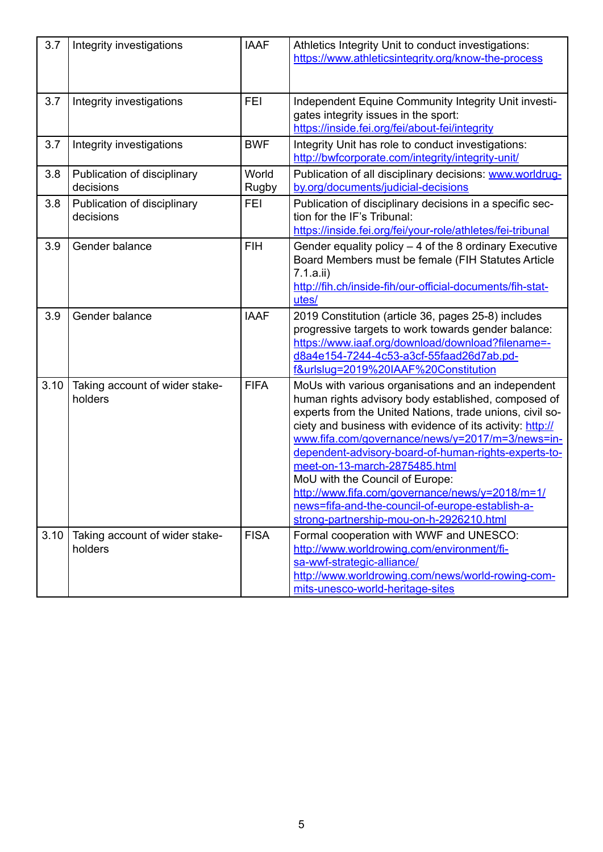| 3.7  | Integrity investigations                  | <b>IAAF</b>    | Athletics Integrity Unit to conduct investigations:<br>https://www.athleticsintegrity.org/know-the-process                                                                                                                                                                                                                                                                                                                                                                                                                                                            |
|------|-------------------------------------------|----------------|-----------------------------------------------------------------------------------------------------------------------------------------------------------------------------------------------------------------------------------------------------------------------------------------------------------------------------------------------------------------------------------------------------------------------------------------------------------------------------------------------------------------------------------------------------------------------|
| 3.7  | Integrity investigations                  | <b>FEI</b>     | Independent Equine Community Integrity Unit investi-<br>gates integrity issues in the sport:<br>https://inside.fei.org/fei/about-fei/integrity                                                                                                                                                                                                                                                                                                                                                                                                                        |
| 3.7  | Integrity investigations                  | <b>BWF</b>     | Integrity Unit has role to conduct investigations:<br>http://bwfcorporate.com/integrity/integrity-unit/                                                                                                                                                                                                                                                                                                                                                                                                                                                               |
| 3.8  | Publication of disciplinary<br>decisions  | World<br>Rugby | Publication of all disciplinary decisions: www.worldrug-<br>by.org/documents/judicial-decisions                                                                                                                                                                                                                                                                                                                                                                                                                                                                       |
| 3.8  | Publication of disciplinary<br>decisions  | <b>FEI</b>     | Publication of disciplinary decisions in a specific sec-<br>tion for the IF's Tribunal:<br>https://inside.fei.org/fei/your-role/athletes/fei-tribunal                                                                                                                                                                                                                                                                                                                                                                                                                 |
| 3.9  | Gender balance                            | <b>FIH</b>     | Gender equality policy $-$ 4 of the 8 ordinary Executive<br>Board Members must be female (FIH Statutes Article<br>7.1.a.ii)<br>http://fih.ch/inside-fih/our-official-documents/fih-stat-<br>utes/                                                                                                                                                                                                                                                                                                                                                                     |
| 3.9  | Gender balance                            | <b>IAAF</b>    | 2019 Constitution (article 36, pages 25-8) includes<br>progressive targets to work towards gender balance:<br>https://www.iaaf.org/download/download?filename=-<br>d8a4e154-7244-4c53-a3cf-55faad26d7ab.pd-<br>f&urlslug=2019%20IAAF%20Constitution                                                                                                                                                                                                                                                                                                                   |
| 3.10 | Taking account of wider stake-<br>holders | <b>FIFA</b>    | MoUs with various organisations and an independent<br>human rights advisory body established, composed of<br>experts from the United Nations, trade unions, civil so-<br>ciety and business with evidence of its activity: http://<br>www.fifa.com/governance/news/y=2017/m=3/news=in-<br>dependent-advisory-board-of-human-rights-experts-to-<br>meet-on-13-march-2875485.html<br>MoU with the Council of Europe:<br>http://www.fifa.com/governance/news/y=2018/m=1/<br>news=fifa-and-the-council-of-europe-establish-a-<br>strong-partnership-mou-on-h-2926210.html |
| 3.10 | Taking account of wider stake-<br>holders | <b>FISA</b>    | Formal cooperation with WWF and UNESCO:<br>http://www.worldrowing.com/environment/fi-<br>sa-wwf-strategic-alliance/<br>http://www.worldrowing.com/news/world-rowing-com-<br>mits-unesco-world-heritage-sites                                                                                                                                                                                                                                                                                                                                                          |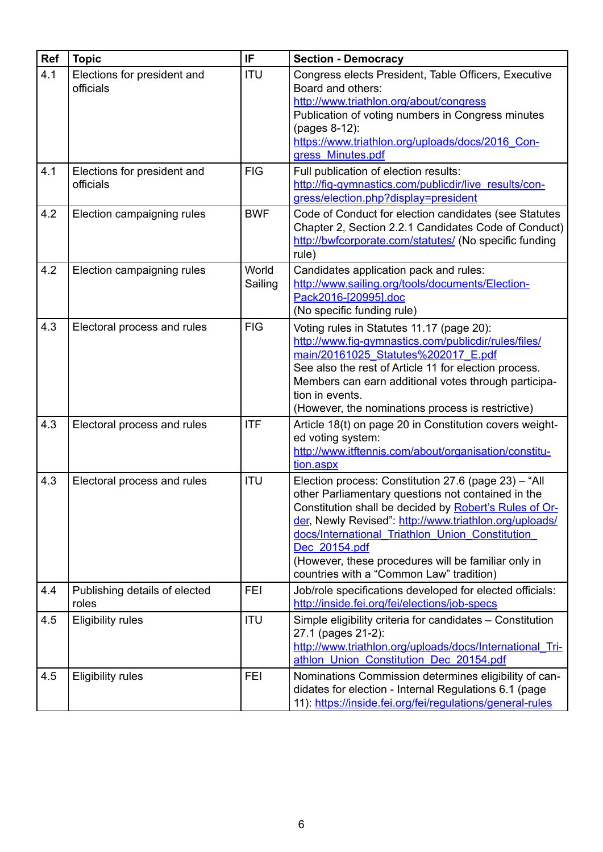| Ref | <b>Topic</b>                             | IF               | <b>Section - Democracy</b>                                                                                                                                                                                                                                                                                                                                                                            |
|-----|------------------------------------------|------------------|-------------------------------------------------------------------------------------------------------------------------------------------------------------------------------------------------------------------------------------------------------------------------------------------------------------------------------------------------------------------------------------------------------|
| 4.1 | Elections for president and<br>officials | <b>ITU</b>       | Congress elects President, Table Officers, Executive<br>Board and others:<br>http://www.triathlon.org/about/congress<br>Publication of voting numbers in Congress minutes<br>(pages 8-12):<br>https://www.triathlon.org/uploads/docs/2016 Con-<br>gress Minutes.pdf                                                                                                                                   |
| 4.1 | Elections for president and<br>officials | <b>FIG</b>       | Full publication of election results:<br>http://fig-gymnastics.com/publicdir/live_results/con-<br>gress/election.php?display=president                                                                                                                                                                                                                                                                |
| 4.2 | Election campaigning rules               | <b>BWF</b>       | Code of Conduct for election candidates (see Statutes<br>Chapter 2, Section 2.2.1 Candidates Code of Conduct)<br>http://bwfcorporate.com/statutes/ (No specific funding<br>rule)                                                                                                                                                                                                                      |
| 4.2 | Election campaigning rules               | World<br>Sailing | Candidates application pack and rules:<br>http://www.sailing.org/tools/documents/Election-<br>Pack2016-[20995].doc<br>(No specific funding rule)                                                                                                                                                                                                                                                      |
| 4.3 | Electoral process and rules              | <b>FIG</b>       | Voting rules in Statutes 11.17 (page 20):<br>http://www.fig-gymnastics.com/publicdir/rules/files/<br>main/20161025 Statutes%202017 E.pdf<br>See also the rest of Article 11 for election process.<br>Members can earn additional votes through participa-<br>tion in events.<br>(However, the nominations process is restrictive)                                                                     |
| 4.3 | Electoral process and rules              | <b>ITF</b>       | Article 18(t) on page 20 in Constitution covers weight-<br>ed voting system:<br>http://www.itftennis.com/about/organisation/constitu-<br>tion.aspx                                                                                                                                                                                                                                                    |
| 4.3 | Electoral process and rules              | <b>ITU</b>       | Election process: Constitution 27.6 (page 23) - "All<br>other Parliamentary questions not contained in the<br>Constitution shall be decided by Robert's Rules of Or-<br>der, Newly Revised": http://www.triathlon.org/uploads/<br>docs/International Triathlon Union Constitution<br>Dec 20154.pdf<br>(However, these procedures will be familiar only in<br>countries with a "Common Law" tradition) |
| 4.4 | Publishing details of elected<br>roles   | <b>FEI</b>       | Job/role specifications developed for elected officials:<br>http://inside.fei.org/fei/elections/job-specs                                                                                                                                                                                                                                                                                             |
| 4.5 | <b>Eligibility rules</b>                 | <b>ITU</b>       | Simple eligibility criteria for candidates - Constitution<br>27.1 (pages 21-2):<br>http://www.triathlon.org/uploads/docs/International Tri-<br>athlon Union Constitution Dec 20154.pdf                                                                                                                                                                                                                |
| 4.5 | <b>Eligibility rules</b>                 | <b>FEI</b>       | Nominations Commission determines eligibility of can-<br>didates for election - Internal Regulations 6.1 (page<br>11): https://inside.fei.org/fei/regulations/general-rules                                                                                                                                                                                                                           |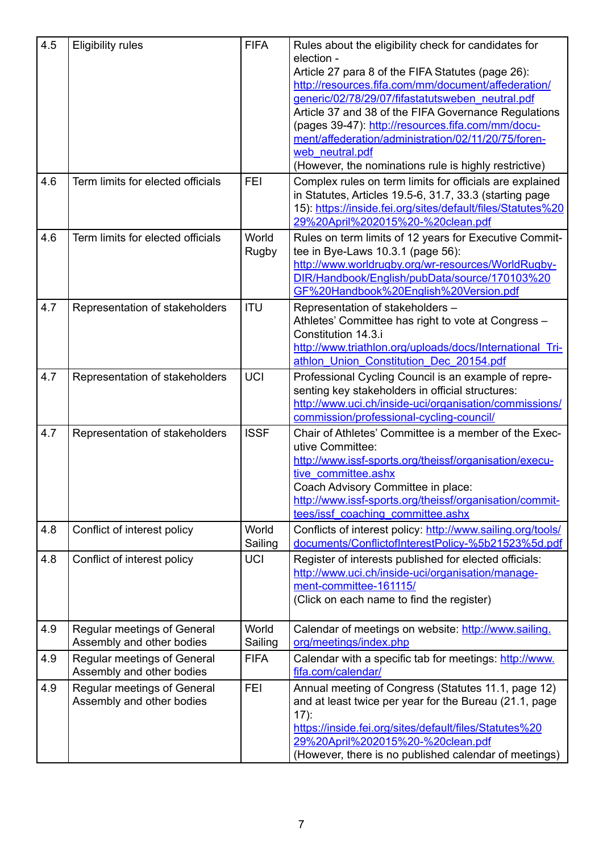| 4.5 | <b>Eligibility rules</b>                                        | <b>FIFA</b>           | Rules about the eligibility check for candidates for<br>election -<br>Article 27 para 8 of the FIFA Statutes (page 26):<br>http://resources.fifa.com/mm/document/affederation/<br>generic/02/78/29/07/fifastatutsweben neutral.pdf<br>Article 37 and 38 of the FIFA Governance Regulations<br>(pages 39-47): http://resources.fifa.com/mm/docu-<br>ment/affederation/administration/02/11/20/75/foren-<br>web neutral.pdf<br>(However, the nominations rule is highly restrictive) |
|-----|-----------------------------------------------------------------|-----------------------|------------------------------------------------------------------------------------------------------------------------------------------------------------------------------------------------------------------------------------------------------------------------------------------------------------------------------------------------------------------------------------------------------------------------------------------------------------------------------------|
| 4.6 | Term limits for elected officials                               | <b>FEI</b>            | Complex rules on term limits for officials are explained<br>in Statutes, Articles 19.5-6, 31.7, 33.3 (starting page<br>15): https://inside.fei.org/sites/default/files/Statutes%20<br>29%20April%202015%20-%20clean.pdf                                                                                                                                                                                                                                                            |
| 4.6 | Term limits for elected officials                               | World<br><b>Rugby</b> | Rules on term limits of 12 years for Executive Commit-<br>tee in Bye-Laws 10.3.1 (page 56):<br>http://www.worldrugby.org/wr-resources/WorldRugby-<br>DIR/Handbook/English/pubData/source/170103%20<br>GF%20Handbook%20English%20Version.pdf                                                                                                                                                                                                                                        |
| 4.7 | Representation of stakeholders                                  | <b>ITU</b>            | Representation of stakeholders -<br>Athletes' Committee has right to vote at Congress -<br>Constitution 14.3.i<br>http://www.triathlon.org/uploads/docs/International Tri-<br>athlon Union Constitution Dec 20154.pdf                                                                                                                                                                                                                                                              |
| 4.7 | Representation of stakeholders                                  | <b>UCI</b>            | Professional Cycling Council is an example of repre-<br>senting key stakeholders in official structures:<br>http://www.ucj.ch/inside-uci/organisation/commissions/<br>commission/professional-cycling-council/                                                                                                                                                                                                                                                                     |
| 4.7 | Representation of stakeholders                                  | <b>ISSF</b>           | Chair of Athletes' Committee is a member of the Exec-<br>utive Committee:<br>http://www.issf-sports.org/theissf/organisation/execu-<br>tive committee.ashx<br>Coach Advisory Committee in place:<br>http://www.issf-sports.org/theissf/organisation/commit-<br>tees/issf coaching committee.ashx                                                                                                                                                                                   |
| 4.8 | Conflict of interest policy                                     | World<br>Sailing      | Conflicts of interest policy: http://www.sailing.org/tools/<br>documents/ConflictofInterestPolicy-%5b21523%5d.pdf                                                                                                                                                                                                                                                                                                                                                                  |
| 4.8 | Conflict of interest policy                                     | <b>UCI</b>            | Register of interests published for elected officials:<br>http://www.uci.ch/inside-uci/organisation/manage-<br>ment-committee-161115/<br>(Click on each name to find the register)                                                                                                                                                                                                                                                                                                 |
| 4.9 | <b>Regular meetings of General</b><br>Assembly and other bodies | World<br>Sailing      | Calendar of meetings on website: http://www.sailing.<br>org/meetings/index.php                                                                                                                                                                                                                                                                                                                                                                                                     |
| 4.9 | <b>Regular meetings of General</b><br>Assembly and other bodies | <b>FIFA</b>           | Calendar with a specific tab for meetings: http://www.<br>fifa.com/calendar/                                                                                                                                                                                                                                                                                                                                                                                                       |
| 4.9 | <b>Regular meetings of General</b><br>Assembly and other bodies | <b>FEI</b>            | Annual meeting of Congress (Statutes 11.1, page 12)<br>and at least twice per year for the Bureau (21.1, page<br>$17)$ :<br>https://inside.fei.org/sites/default/files/Statutes%20<br>29%20April%202015%20-%20clean.pdf<br>(However, there is no published calendar of meetings)                                                                                                                                                                                                   |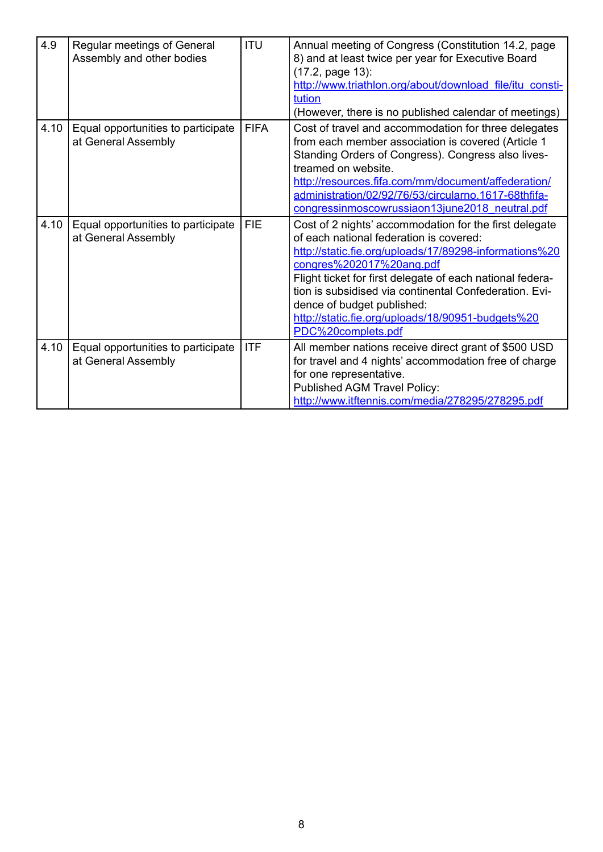| 4.9  | Regular meetings of General<br>Assembly and other bodies  | <b>ITU</b>  | Annual meeting of Congress (Constitution 14.2, page<br>8) and at least twice per year for Executive Board<br>(17.2, page 13):<br>http://www.triathlon.org/about/download file/itu consti-<br>tution<br>(However, there is no published calendar of meetings)                                                                                                                                                            |
|------|-----------------------------------------------------------|-------------|-------------------------------------------------------------------------------------------------------------------------------------------------------------------------------------------------------------------------------------------------------------------------------------------------------------------------------------------------------------------------------------------------------------------------|
| 4.10 | Equal opportunities to participate<br>at General Assembly | <b>FIFA</b> | Cost of travel and accommodation for three delegates<br>from each member association is covered (Article 1<br>Standing Orders of Congress). Congress also lives-<br>treamed on website.<br>http://resources.fifa.com/mm/document/affederation/<br>administration/02/92/76/53/circularno.1617-68thfifa-<br>congressinmoscowrussiaon13june2018 neutral.pdf                                                                |
| 4.10 | Equal opportunities to participate<br>at General Assembly | <b>FIE</b>  | Cost of 2 nights' accommodation for the first delegate<br>of each national federation is covered:<br>http://static.fie.org/uploads/17/89298-informations%20<br>congres%202017%20ang.pdf<br>Flight ticket for first delegate of each national federa-<br>tion is subsidised via continental Confederation. Evi-<br>dence of budget published:<br>http://static.fie.org/uploads/18/90951-budgets%20<br>PDC%20complets.pdf |
| 4.10 | Equal opportunities to participate<br>at General Assembly | <b>ITF</b>  | All member nations receive direct grant of \$500 USD<br>for travel and 4 nights' accommodation free of charge<br>for one representative.<br><b>Published AGM Travel Policy:</b><br>http://www.itftennis.com/media/278295/278295.pdf                                                                                                                                                                                     |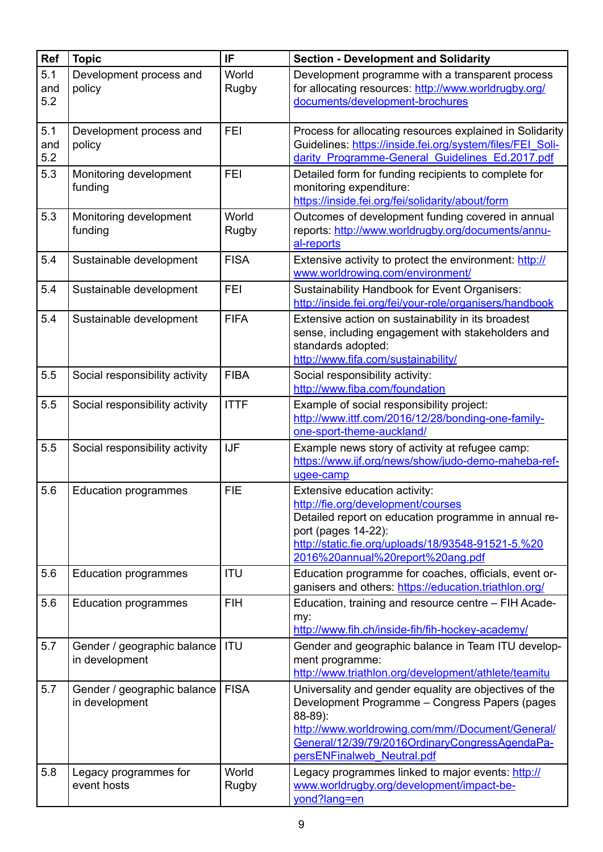| <b>Ref</b>        | <b>Topic</b>                                  | IF                    | <b>Section - Development and Solidarity</b>                                                                                                                                                                                                             |
|-------------------|-----------------------------------------------|-----------------------|---------------------------------------------------------------------------------------------------------------------------------------------------------------------------------------------------------------------------------------------------------|
| 5.1<br>and<br>5.2 | Development process and<br>policy             | World<br><b>Rugby</b> | Development programme with a transparent process<br>for allocating resources: http://www.worldrugby.org/<br>documents/development-brochures                                                                                                             |
| 5.1<br>and<br>5.2 | Development process and<br>policy             | <b>FEI</b>            | Process for allocating resources explained in Solidarity<br>Guidelines: https://inside.fei.org/system/files/FEI Soli-<br>darity Programme-General Guidelines Ed.2017.pdf                                                                                |
| 5.3               | Monitoring development<br>funding             | <b>FEI</b>            | Detailed form for funding recipients to complete for<br>monitoring expenditure:<br>https://inside.fei.org/fei/solidarity/about/form                                                                                                                     |
| 5.3               | Monitoring development<br>funding             | World<br>Rugby        | Outcomes of development funding covered in annual<br>reports: http://www.worldrugby.org/documents/annu-<br>al-reports                                                                                                                                   |
| 5.4               | Sustainable development                       | <b>FISA</b>           | Extensive activity to protect the environment: http://<br>www.worldrowing.com/environment/                                                                                                                                                              |
| 5.4               | Sustainable development                       | <b>FEI</b>            | Sustainability Handbook for Event Organisers:<br>http://inside.fei.org/fei/your-role/organisers/handbook                                                                                                                                                |
| 5.4               | Sustainable development                       | <b>FIFA</b>           | Extensive action on sustainability in its broadest<br>sense, including engagement with stakeholders and<br>standards adopted:<br>http://www.fifa.com/sustainability/                                                                                    |
| 5.5               | Social responsibility activity                | <b>FIBA</b>           | Social responsibility activity:<br>http://www.fiba.com/foundation                                                                                                                                                                                       |
| 5.5               | Social responsibility activity                | <b>ITTF</b>           | Example of social responsibility project:<br>http://www.ittf.com/2016/12/28/bonding-one-family-<br>one-sport-theme-auckland/                                                                                                                            |
| 5.5               | Social responsibility activity                | <b>IJF</b>            | Example news story of activity at refugee camp:<br>https://www.ijf.org/news/show/judo-demo-maheba-ref-<br>ugee-camp                                                                                                                                     |
| 5.6               | <b>Education programmes</b>                   | <b>FIE</b>            | Extensive education activity:<br>http://fie.org/development/courses<br>Detailed report on education programme in annual re-<br>port (pages 14-22):<br>http://static.fie.org/uploads/18/93548-91521-5.%20<br>2016%20annual%20report%20ang.pdf            |
| 5.6               | <b>Education programmes</b>                   | <b>ITU</b>            | Education programme for coaches, officials, event or-<br>ganisers and others: https://education.triathlon.org/                                                                                                                                          |
| 5.6               | <b>Education programmes</b>                   | <b>FIH</b>            | Education, training and resource centre - FIH Acade-<br>my:<br>http://www.fih.ch/inside-fih/fih-hockey-academy/                                                                                                                                         |
| 5.7               | Gender / geographic balance<br>in development | <b>ITU</b>            | Gender and geographic balance in Team ITU develop-<br>ment programme:<br>http://www.triathlon.org/development/athlete/teamitu                                                                                                                           |
| 5.7               | Gender / geographic balance<br>in development | <b>FISA</b>           | Universality and gender equality are objectives of the<br>Development Programme - Congress Papers (pages<br>88-89):<br>http://www.worldrowing.com/mm//Document/General/<br>General/12/39/79/2016OrdinaryCongressAgendaPa-<br>persENFinalweb Neutral.pdf |
| 5.8               | Legacy programmes for<br>event hosts          | World<br>Rugby        | Legacy programmes linked to major events: http://<br>www.worldrugby.org/development/impact-be-<br>yond?lang=en                                                                                                                                          |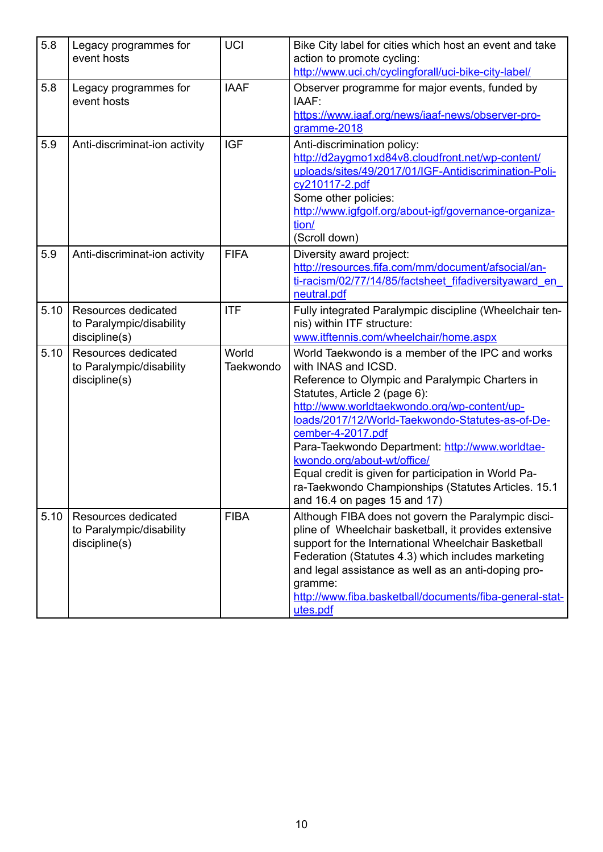| 5.8  | Legacy programmes for<br>event hosts                                    | <b>UCI</b>         | Bike City label for cities which host an event and take<br>action to promote cycling:<br>http://www.uci.ch/cyclingforall/uci-bike-city-label/                                                                                                                                                                                                                                                                                                                                                                         |
|------|-------------------------------------------------------------------------|--------------------|-----------------------------------------------------------------------------------------------------------------------------------------------------------------------------------------------------------------------------------------------------------------------------------------------------------------------------------------------------------------------------------------------------------------------------------------------------------------------------------------------------------------------|
| 5.8  | Legacy programmes for<br>event hosts                                    | <b>IAAF</b>        | Observer programme for major events, funded by<br>IAAF:<br>https://www.iaaf.org/news/iaaf-news/observer-pro-<br>gramme-2018                                                                                                                                                                                                                                                                                                                                                                                           |
| 5.9  | Anti-discriminat-ion activity                                           | <b>IGF</b>         | Anti-discrimination policy:<br>http://d2aygmo1xd84v8.cloudfront.net/wp-content/<br>uploads/sites/49/2017/01/IGF-Antidiscrimination-Poli-<br>cy210117-2.pdf<br>Some other policies:<br>http://www.igfgolf.org/about-igf/governance-organiza-<br>tion/<br>(Scroll down)                                                                                                                                                                                                                                                 |
| 5.9  | Anti-discriminat-ion activity                                           | <b>FIFA</b>        | Diversity award project:<br>http://resources.fifa.com/mm/document/afsocial/an-<br>ti-racism/02/77/14/85/factsheet fifadiversityaward en<br>neutral.pdf                                                                                                                                                                                                                                                                                                                                                                |
| 5.10 | <b>Resources dedicated</b><br>to Paralympic/disability<br>discipline(s) | <b>ITF</b>         | Fully integrated Paralympic discipline (Wheelchair ten-<br>nis) within ITF structure:<br>www.itftennis.com/wheelchair/home.aspx                                                                                                                                                                                                                                                                                                                                                                                       |
| 5.10 | <b>Resources dedicated</b><br>to Paralympic/disability<br>discipline(s) | World<br>Taekwondo | World Taekwondo is a member of the IPC and works<br>with INAS and ICSD.<br>Reference to Olympic and Paralympic Charters in<br>Statutes, Article 2 (page 6):<br>http://www.worldtaekwondo.org/wp-content/up-<br>loads/2017/12/World-Taekwondo-Statutes-as-of-De-<br>cember-4-2017.pdf<br>Para-Taekwondo Department: http://www.worldtae-<br>kwondo.org/about-wt/office/<br>Equal credit is given for participation in World Pa-<br>ra-Taekwondo Championships (Statutes Articles. 15.1<br>and 16.4 on pages 15 and 17) |
| 5.10 | Resources dedicated<br>to Paralympic/disability<br>discipline(s)        | <b>FIBA</b>        | Although FIBA does not govern the Paralympic disci-<br>pline of Wheelchair basketball, it provides extensive<br>support for the International Wheelchair Basketball<br>Federation (Statutes 4.3) which includes marketing<br>and legal assistance as well as an anti-doping pro-<br>gramme:<br>http://www.fiba.basketball/documents/fiba-general-stat-<br>utes.pdf                                                                                                                                                    |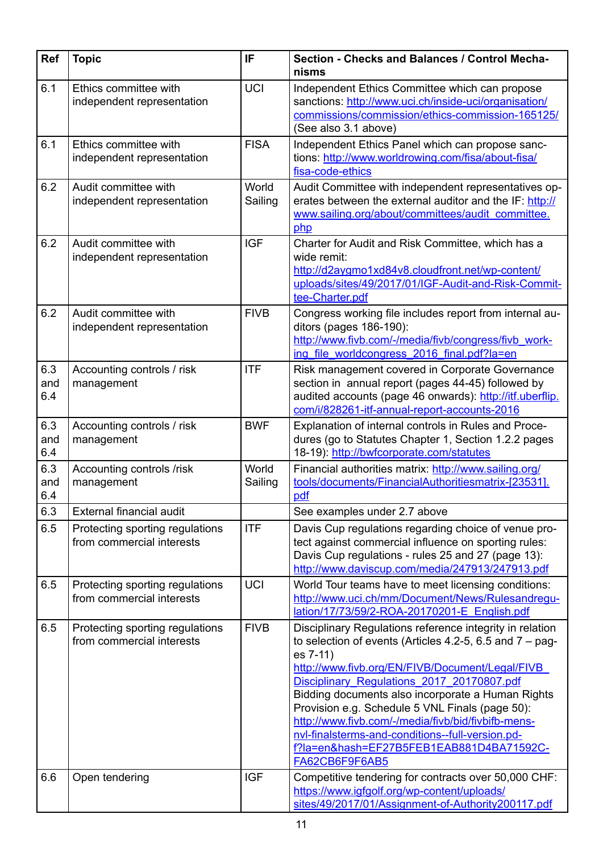| <b>Ref</b>        | <b>Topic</b>                                                 | IF               | Section - Checks and Balances / Control Mecha-<br>nisms                                                                                                                                                                                                                                                                                                                                                                                                                                                             |
|-------------------|--------------------------------------------------------------|------------------|---------------------------------------------------------------------------------------------------------------------------------------------------------------------------------------------------------------------------------------------------------------------------------------------------------------------------------------------------------------------------------------------------------------------------------------------------------------------------------------------------------------------|
| 6.1               | Ethics committee with<br>independent representation          | <b>UCI</b>       | Independent Ethics Committee which can propose<br>sanctions: http://www.uci.ch/inside-uci/organisation/<br>commissions/commission/ethics-commission-165125/<br>(See also 3.1 above)                                                                                                                                                                                                                                                                                                                                 |
| 6.1               | Ethics committee with<br>independent representation          | <b>FISA</b>      | Independent Ethics Panel which can propose sanc-<br>tions: http://www.worldrowing.com/fisa/about-fisa/<br>fisa-code-ethics                                                                                                                                                                                                                                                                                                                                                                                          |
| 6.2               | Audit committee with<br>independent representation           | World<br>Sailing | Audit Committee with independent representatives op-<br>erates between the external auditor and the IF: http://<br>www.sailing.org/about/committees/audit_committee.<br>php                                                                                                                                                                                                                                                                                                                                         |
| 6.2               | Audit committee with<br>independent representation           | <b>IGF</b>       | Charter for Audit and Risk Committee, which has a<br>wide remit:<br>http://d2aygmo1xd84v8.cloudfront.net/wp-content/<br>uploads/sites/49/2017/01/IGF-Audit-and-Risk-Commit-<br>tee-Charter.pdf                                                                                                                                                                                                                                                                                                                      |
| 6.2               | Audit committee with<br>independent representation           | <b>FIVB</b>      | Congress working file includes report from internal au-<br>ditors (pages 186-190):<br>http://www.fivb.com/-/media/fivb/congress/fivb work-<br>ing file worldcongress 2016 final.pdf?la=en                                                                                                                                                                                                                                                                                                                           |
| 6.3<br>and<br>6.4 | Accounting controls / risk<br>management                     | <b>ITF</b>       | Risk management covered in Corporate Governance<br>section in annual report (pages 44-45) followed by<br>audited accounts (page 46 onwards): http://itf.uberflip.<br>com/i/828261-itf-annual-report-accounts-2016                                                                                                                                                                                                                                                                                                   |
| 6.3<br>and<br>6.4 | Accounting controls / risk<br>management                     | <b>BWF</b>       | Explanation of internal controls in Rules and Proce-<br>dures (go to Statutes Chapter 1, Section 1.2.2 pages<br>18-19): http://bwfcorporate.com/statutes                                                                                                                                                                                                                                                                                                                                                            |
| 6.3<br>and<br>6.4 | Accounting controls /risk<br>management                      | World<br>Sailing | Financial authorities matrix: http://www.sailing.org/<br>tools/documents/FinancialAuthoritiesmatrix-[23531].<br>pdf                                                                                                                                                                                                                                                                                                                                                                                                 |
| 6.3               | External financial audit                                     |                  | See examples under 2.7 above                                                                                                                                                                                                                                                                                                                                                                                                                                                                                        |
| 6.5               | Protecting sporting regulations<br>from commercial interests | <b>ITF</b>       | Davis Cup regulations regarding choice of venue pro-<br>tect against commercial influence on sporting rules:<br>Davis Cup regulations - rules 25 and 27 (page 13):<br>http://www.daviscup.com/media/247913/247913.pdf                                                                                                                                                                                                                                                                                               |
| 6.5               | Protecting sporting regulations<br>from commercial interests | <b>UCI</b>       | World Tour teams have to meet licensing conditions:<br>http://www.uci.ch/mm/Document/News/Rulesandregu-<br>lation/17/73/59/2-ROA-20170201-E English.pdf                                                                                                                                                                                                                                                                                                                                                             |
| 6.5               | Protecting sporting regulations<br>from commercial interests | <b>FIVB</b>      | Disciplinary Regulations reference integrity in relation<br>to selection of events (Articles 4.2-5, 6.5 and $7 -$ pag-<br>es 7-11)<br>http://www.fivb.org/EN/FIVB/Document/Legal/FIVB<br>Disciplinary Regulations 2017 20170807.pdf<br>Bidding documents also incorporate a Human Rights<br>Provision e.g. Schedule 5 VNL Finals (page 50):<br>http://www.fivb.com/-/media/fivb/bid/fivbifb-mens-<br>nvl-finalsterms-and-conditions--full-version.pd-<br>f?la=en&hash=EF27B5FEB1EAB881D4BA71592C-<br>FA62CB6F9F6AB5 |
| 6.6               | Open tendering                                               | <b>IGF</b>       | Competitive tendering for contracts over 50,000 CHF:<br>https://www.igfgolf.org/wp-content/uploads/<br>sites/49/2017/01/Assignment-of-Authority200117.pdf                                                                                                                                                                                                                                                                                                                                                           |